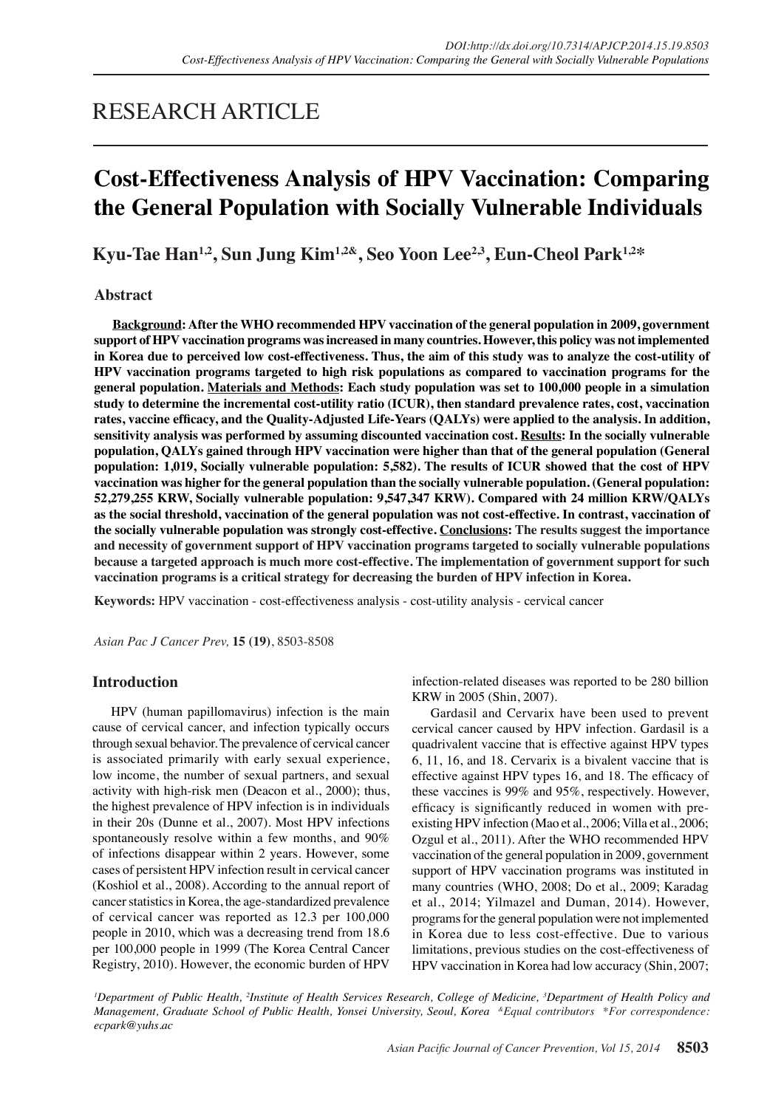# RESEARCH ARTICLE

# **Cost-Effectiveness Analysis of HPV Vaccination: Comparing the General Population with Socially Vulnerable Individuals**

**Kyu-Tae Han1,2, Sun Jung Kim1,2&, Seo Yoon Lee2,3, Eun-Cheol Park1,2\***

## **Abstract**

**Background: After the WHO recommended HPV vaccination of the general population in 2009, government support of HPV vaccination programs was increased in many countries. However, this policy was not implemented in Korea due to perceived low cost-effectiveness. Thus, the aim of this study was to analyze the cost-utility of HPV vaccination programs targeted to high risk populations as compared to vaccination programs for the general population. Materials and Methods: Each study population was set to 100,000 people in a simulation study to determine the incremental cost-utility ratio (ICUR), then standard prevalence rates, cost, vaccination rates, vaccine efficacy, and the Quality-Adjusted Life-Years (QALYs) were applied to the analysis. In addition, sensitivity analysis was performed by assuming discounted vaccination cost. Results: In the socially vulnerable population, QALYs gained through HPV vaccination were higher than that of the general population (General population: 1,019, Socially vulnerable population: 5,582). The results of ICUR showed that the cost of HPV vaccination was higher for the general population than the socially vulnerable population. (General population: 52,279,255 KRW, Socially vulnerable population: 9,547,347 KRW). Compared with 24 million KRW/QALYs as the social threshold, vaccination of the general population was not cost-effective. In contrast, vaccination of the socially vulnerable population was strongly cost-effective. Conclusions: The results suggest the importance and necessity of government support of HPV vaccination programs targeted to socially vulnerable populations because a targeted approach is much more cost-effective. The implementation of government support for such vaccination programs is a critical strategy for decreasing the burden of HPV infection in Korea.**

**Keywords:** HPV vaccination - cost-effectiveness analysis - cost-utility analysis - cervical cancer

*Asian Pac J Cancer Prev,* **15 (19)**, 8503-8508

# **Introduction**

HPV (human papillomavirus) infection is the main cause of cervical cancer, and infection typically occurs through sexual behavior. The prevalence of cervical cancer is associated primarily with early sexual experience, low income, the number of sexual partners, and sexual activity with high-risk men (Deacon et al., 2000); thus, the highest prevalence of HPV infection is in individuals in their 20s (Dunne et al., 2007). Most HPV infections spontaneously resolve within a few months, and 90% of infections disappear within 2 years. However, some cases of persistent HPV infection result in cervical cancer (Koshiol et al., 2008). According to the annual report of cancer statistics in Korea, the age-standardized prevalence of cervical cancer was reported as 12.3 per 100,000 people in 2010, which was a decreasing trend from 18.6 per 100,000 people in 1999 (The Korea Central Cancer Registry, 2010). However, the economic burden of HPV

infection-related diseases was reported to be 280 billion KRW in 2005 (Shin, 2007).

Gardasil and Cervarix have been used to prevent cervical cancer caused by HPV infection. Gardasil is a quadrivalent vaccine that is effective against HPV types 6, 11, 16, and 18. Cervarix is a bivalent vaccine that is effective against HPV types 16, and 18. The efficacy of these vaccines is 99% and 95%, respectively. However, efficacy is significantly reduced in women with preexisting HPV infection (Mao et al., 2006; Villa et al., 2006; Ozgul et al., 2011). After the WHO recommended HPV vaccination of the general population in 2009, government support of HPV vaccination programs was instituted in many countries (WHO, 2008; Do et al., 2009; Karadag et al., 2014; Yilmazel and Duman, 2014). However, programs for the general population were not implemented in Korea due to less cost-effective. Due to various limitations, previous studies on the cost-effectiveness of HPV vaccination in Korea had low accuracy (Shin, 2007;

*1 Department of Public Health, 2 Institute of Health Services Research, College of Medicine, 3 Department of Health Policy and Management, Graduate School of Public Health, Yonsei University, Seoul, Korea &Equal contributors \*For correspondence: ecpark@yuhs.ac*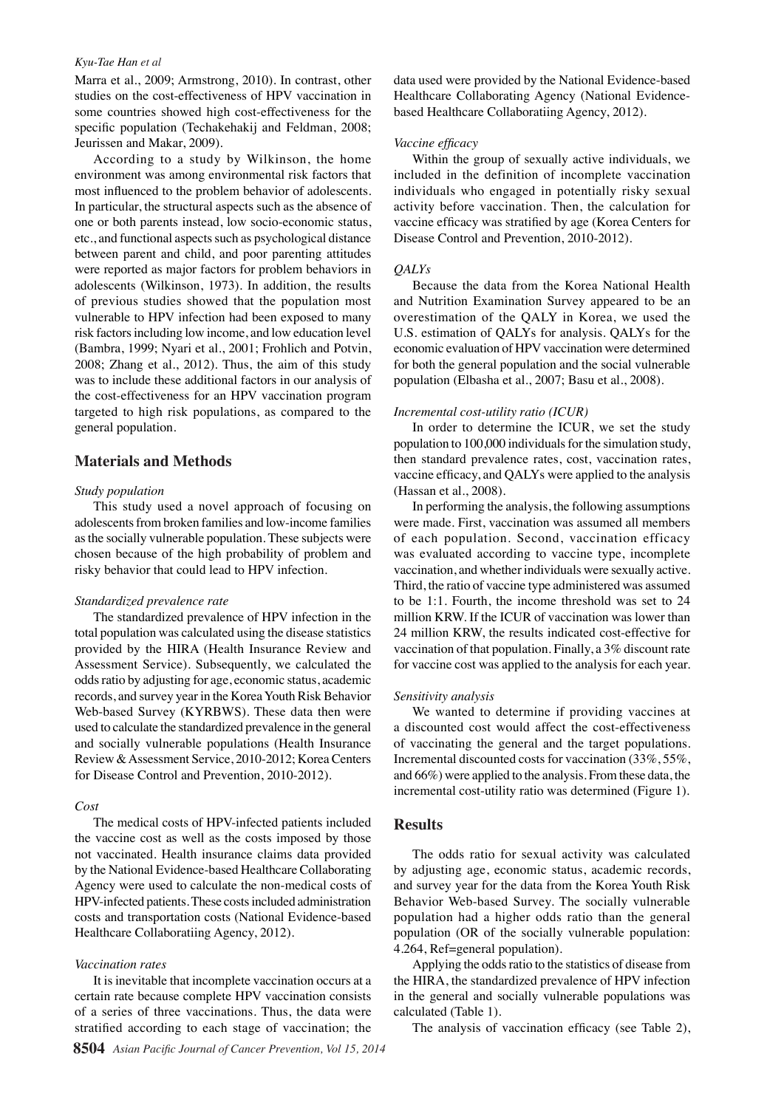#### *Kyu-Tae Han et al*

Marra et al., 2009; Armstrong, 2010). In contrast, other studies on the cost-effectiveness of HPV vaccination in some countries showed high cost-effectiveness for the specific population (Techakehakij and Feldman, 2008; Jeurissen and Makar, 2009).

According to a study by Wilkinson, the home environment was among environmental risk factors that most influenced to the problem behavior of adolescents. In particular, the structural aspects such as the absence of one or both parents instead, low socio-economic status, etc., and functional aspects such as psychological distance between parent and child, and poor parenting attitudes were reported as major factors for problem behaviors in adolescents (Wilkinson, 1973). In addition, the results of previous studies showed that the population most vulnerable to HPV infection had been exposed to many risk factors including low income, and low education level (Bambra, 1999; Nyari et al., 2001; Frohlich and Potvin, 2008; Zhang et al., 2012). Thus, the aim of this study was to include these additional factors in our analysis of the cost-effectiveness for an HPV vaccination program targeted to high risk populations, as compared to the general population.

## **Materials and Methods**

#### *Study population*

This study used a novel approach of focusing on adolescents from broken families and low-income families as the socially vulnerable population. These subjects were chosen because of the high probability of problem and risky behavior that could lead to HPV infection.

## *Standardized prevalence rate*

The standardized prevalence of HPV infection in the total population was calculated using the disease statistics provided by the HIRA (Health Insurance Review and Assessment Service). Subsequently, we calculated the odds ratio by adjusting for age, economic status, academic records, and survey year in the Korea Youth Risk Behavior Web-based Survey (KYRBWS). These data then were used to calculate the standardized prevalence in the general and socially vulnerable populations (Health Insurance Review & Assessment Service, 2010-2012; Korea Centers for Disease Control and Prevention, 2010-2012).

### *Cost*

The medical costs of HPV-infected patients included the vaccine cost as well as the costs imposed by those not vaccinated. Health insurance claims data provided by the National Evidence-based Healthcare Collaborating Agency were used to calculate the non-medical costs of HPV-infected patients. These costs included administration costs and transportation costs (National Evidence-based Healthcare Collaboratiing Agency, 2012).

#### *Vaccination rates*

It is inevitable that incomplete vaccination occurs at a certain rate because complete HPV vaccination consists of a series of three vaccinations. Thus, the data were stratified according to each stage of vaccination; the

data used were provided by the National Evidence-based Healthcare Collaborating Agency (National Evidencebased Healthcare Collaboratiing Agency, 2012).

#### *Vaccine efficacy*

Within the group of sexually active individuals, we included in the definition of incomplete vaccination individuals who engaged in potentially risky sexual activity before vaccination. Then, the calculation for vaccine efficacy was stratified by age (Korea Centers for Disease Control and Prevention, 2010-2012).

#### *QALYs*

Because the data from the Korea National Health and Nutrition Examination Survey appeared to be an overestimation of the QALY in Korea, we used the U.S. estimation of QALYs for analysis. QALYs for the economic evaluation of HPV vaccination were determined for both the general population and the social vulnerable population (Elbasha et al., 2007; Basu et al., 2008).

#### *Incremental cost-utility ratio (ICUR)*

In order to determine the ICUR, we set the study population to 100,000 individuals for the simulation study, then standard prevalence rates, cost, vaccination rates, vaccine efficacy, and QALYs were applied to the analysis (Hassan et al., 2008).

In performing the analysis, the following assumptions were made. First, vaccination was assumed all members of each population. Second, vaccination efficacy was evaluated according to vaccine type, incomplete vaccination, and whether individuals were sexually active. Third, the ratio of vaccine type administered was assumed to be 1:1. Fourth, the income threshold was set to 24 million KRW. If the ICUR of vaccination was lower than 24 million KRW, the results indicated cost-effective for vaccination of that population. Finally, a 3% discount rate for vaccine cost was applied to the analysis for each year.

#### *Sensitivity analysis*

We wanted to determine if providing vaccines at a discounted cost would affect the cost-effectiveness of vaccinating the general and the target populations. Incremental discounted costs for vaccination (33%, 55%, and 66%) were applied to the analysis. From these data, the incremental cost-utility ratio was determined (Figure 1).

## **Results**

The odds ratio for sexual activity was calculated by adjusting age, economic status, academic records, and survey year for the data from the Korea Youth Risk Behavior Web-based Survey. The socially vulnerable population had a higher odds ratio than the general population (OR of the socially vulnerable population: 4.264, Ref=general population).

Applying the odds ratio to the statistics of disease from the HIRA, the standardized prevalence of HPV infection in the general and socially vulnerable populations was calculated (Table 1).

The analysis of vaccination efficacy (see Table 2),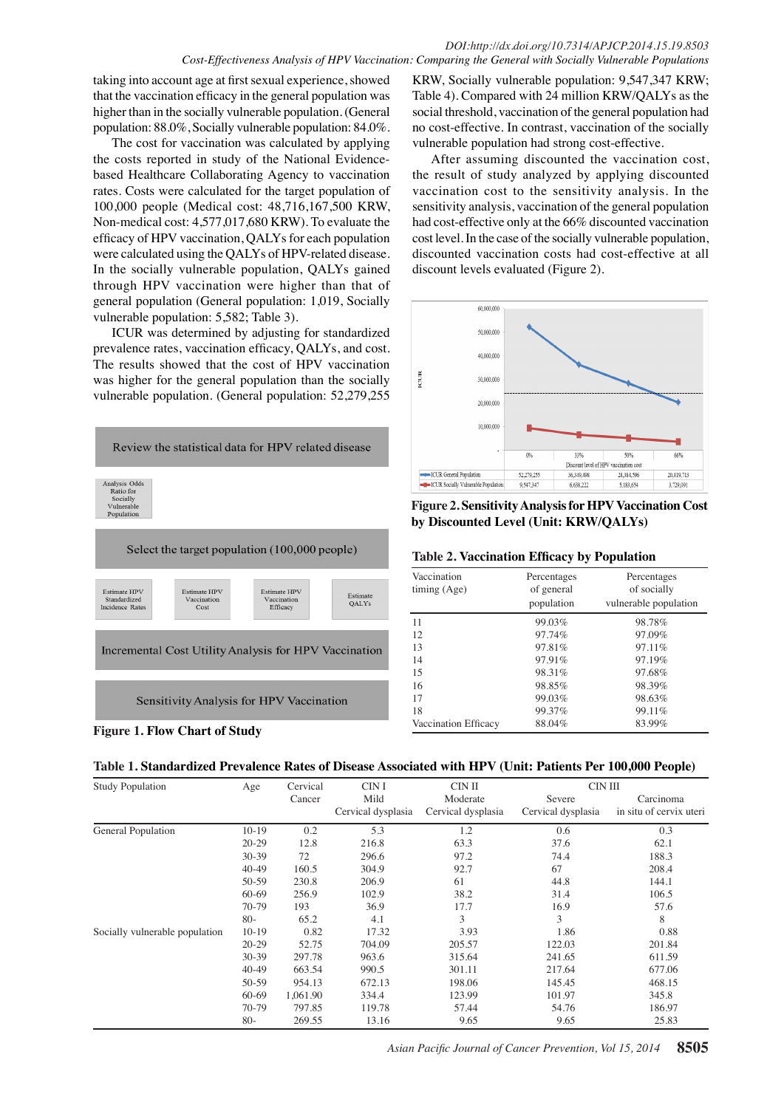taking into account age at first sexual experience, showed that the vaccination efficacy in the general population was higher than in the socially vulnerable population. (General population: 88.0%, Socially vulnerable population: 84.0%.

The cost for vaccination was calculated by applying the costs reported in study of the National Evidencebased Healthcare Collaborating Agency to vaccination rates. Costs were calculated for the target population of 100,000 people (Medical cost: 48,716,167,500 KRW, Non-medical cost: 4,577,017,680 KRW). To evaluate the efficacy of HPV vaccination, QALYs for each population were calculated using the QALYs of HPV-related disease. In the socially vulnerable population, QALYs gained through HPV vaccination were higher than that of general population (General population: 1,019, Socially vulnerable population: 5,582; Table 3).

ICUR was determined by adjusting for standardized prevalence rates, vaccination efficacy, QALYs, and cost. The results showed that the cost of HPV vaccination was higher for the general population than the socially vulnerable population. (General population: 52,279,255





KRW, Socially vulnerable population: 9,547,347 KRW; Table 4). Compared with 24 million KRW/QALYs as the social threshold, vaccination of the general population had no cost-effective. In contrast, vaccination of the socially vulnerable population had strong cost-effective.

After assuming discounted the vaccination cost, the result of study analyzed by applying discounted vaccination cost to the sensitivity analysis. In the sensitivity analysis, vaccination of the general population had cost-effective only at the 66% discounted vaccination cost level. In the case of the socially vulnerable population, discounted vaccination costs had cost-effective at all discount levels evaluated (Figure 2).



**Figure 2. Sensitivity Analysis for HPV Vaccination Cost by Discounted Level (Unit: KRW/QALYs)**

|  | <b>Table 2. Vaccination Efficacy by Population</b> |  |  |
|--|----------------------------------------------------|--|--|
|  |                                                    |  |  |

| Vaccination<br>time (Age) | Percentages<br>of general<br>population | Percentages<br>of socially<br>vulnerable population |
|---------------------------|-----------------------------------------|-----------------------------------------------------|
| 11                        | 99.03%                                  | 98.78%                                              |
| 12                        | 97.74%                                  | 97.09%                                              |
| 13                        | 97.81%                                  | $97.11\%$                                           |
| 14                        | 97.91%                                  | 97.19%                                              |
| 15                        | 98.31%                                  | 97.68%                                              |
| 16                        | 98.85%                                  | 98.39%                                              |
| 17                        | 99.03%                                  | 98.63%                                              |
| 18                        | 99.37%                                  | 99.11%                                              |
| Vaccination Efficacy      | 88.04%                                  | 83.99%                                              |



| <b>Study Population</b>        | Age       | Cervical | CIN I              | CIN II             | CIN III            |                         |  |
|--------------------------------|-----------|----------|--------------------|--------------------|--------------------|-------------------------|--|
|                                |           | Cancer   | Mild               | Moderate           | Severe             | Carcinoma               |  |
|                                |           |          | Cervical dysplasia | Cervical dysplasia | Cervical dysplasia | in situ of cervix uteri |  |
| General Population             | $10-19$   | 0.2      | 5.3                | 1.2                | 0.6                | 0.3                     |  |
|                                | $20 - 29$ | 12.8     | 216.8              | 63.3               | 37.6               | 62.1                    |  |
|                                | $30-39$   | 72       | 296.6              | 97.2               | 74.4               | 188.3                   |  |
|                                | $40-49$   | 160.5    | 304.9              | 92.7               | 67                 | 208.4                   |  |
|                                | 50-59     | 230.8    | 206.9              | 61                 | 44.8               | 144.1                   |  |
|                                | $60 - 69$ | 256.9    | 102.9              | 38.2               | 31.4               | 106.5                   |  |
|                                | 70-79     | 193      | 36.9               | 17.7               | 16.9               | 57.6                    |  |
|                                | $80-$     | 65.2     | 4.1                | 3                  | 3                  | 8                       |  |
| Socially vulnerable population | $10-19$   | 0.82     | 17.32              | 3.93               | 1.86               | 0.88                    |  |
|                                | $20 - 29$ | 52.75    | 704.09             | 205.57             | 122.03             | 201.84                  |  |
|                                | $30-39$   | 297.78   | 963.6              | 315.64             | 241.65             | 611.59                  |  |
|                                | $40-49$   | 663.54   | 990.5              | 301.11             | 217.64             | 677.06                  |  |
|                                | 50-59     | 954.13   | 672.13             | 198.06             | 145.45             | 468.15                  |  |
|                                | 60-69     | 1,061.90 | 334.4              | 123.99             | 101.97             | 345.8                   |  |
|                                | 70-79     | 797.85   | 119.78             | 57.44              | 54.76              | 186.97                  |  |
|                                | $80 -$    | 269.55   | 13.16              | 9.65               | 9.65               | 25.83                   |  |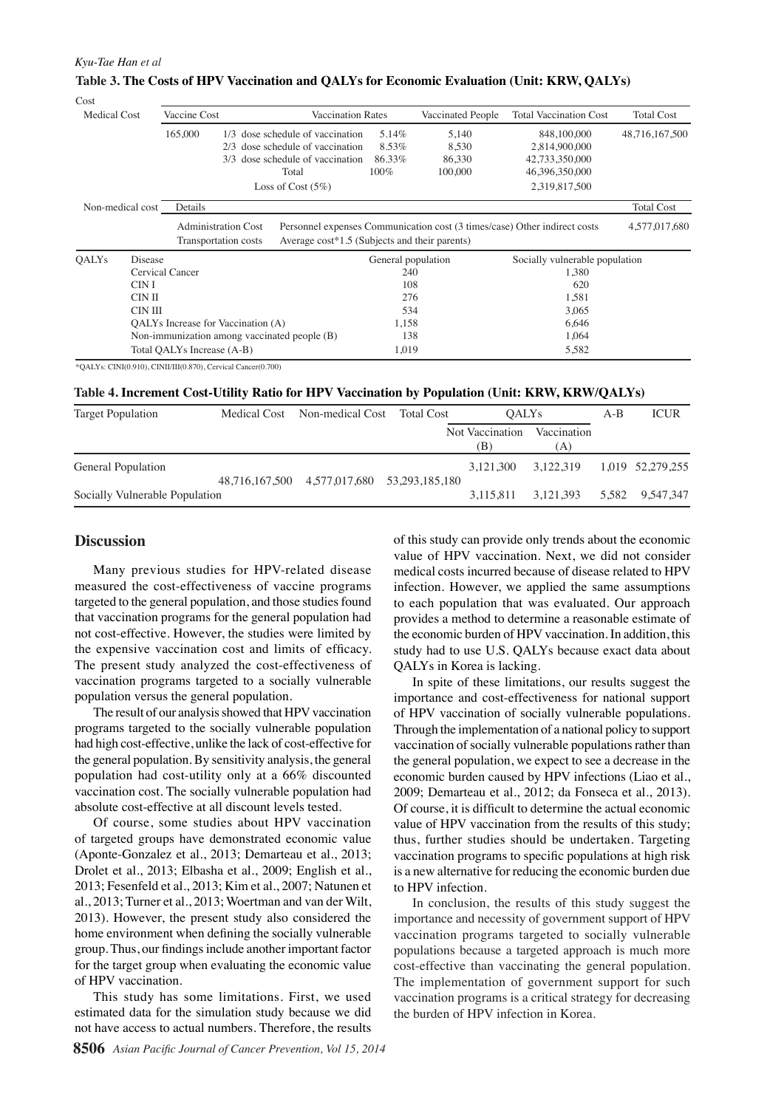#### *Kyu-Tae Han et al*

 $C_{\text{out}}$ 

| woi          |                  |                                                    |     |                                                                       |  |                                               |                            |                                                                           |                   |  |
|--------------|------------------|----------------------------------------------------|-----|-----------------------------------------------------------------------|--|-----------------------------------------------|----------------------------|---------------------------------------------------------------------------|-------------------|--|
| Medical Cost |                  | Vaccine Cost                                       |     |                                                                       |  | <b>Vaccination Rates</b><br>Vaccinated People |                            | <b>Total Vaccination Cost</b>                                             | <b>Total Cost</b> |  |
|              |                  | 165,000                                            |     | 1/3 dose schedule of vaccination                                      |  | 5.14%                                         | 5,140                      | 848,100,000                                                               | 48,716,167,500    |  |
|              |                  |                                                    | 2/3 | dose schedule of vaccination<br>dose schedule of vaccination<br>Total |  | 8.53%<br>86.33%<br>$100\%$                    | 8,530<br>86,330<br>100,000 | 2,814,900,000<br>42,733,350,000<br>46,396,350,000                         |                   |  |
|              |                  |                                                    | 3/3 |                                                                       |  |                                               |                            |                                                                           |                   |  |
|              |                  |                                                    |     |                                                                       |  |                                               |                            |                                                                           |                   |  |
|              |                  |                                                    |     | Loss of Cost $(5\%)$                                                  |  |                                               |                            | 2,319,817,500                                                             |                   |  |
|              | Non-medical cost | Details                                            |     |                                                                       |  |                                               |                            |                                                                           | <b>Total Cost</b> |  |
|              |                  | <b>Administration Cost</b><br>Transportation costs |     | Average cost*1.5 (Subjects and their parents)                         |  |                                               |                            | Personnel expenses Communication cost (3 times/case) Other indirect costs | 4,577,017,680     |  |
| <b>OALYs</b> | Disease          |                                                    |     |                                                                       |  | General population                            |                            | Socially vulnerable population                                            |                   |  |
|              |                  | Cervical Cancer                                    |     |                                                                       |  | 240                                           |                            | 1,380                                                                     |                   |  |
|              | CIN I            |                                                    |     |                                                                       |  | 108                                           |                            | 620                                                                       |                   |  |
|              | CIN II           |                                                    |     |                                                                       |  | 276                                           |                            | 1,581                                                                     |                   |  |
|              | CIN III          |                                                    |     |                                                                       |  | 534                                           |                            | 3,065                                                                     |                   |  |
|              |                  | QALYs Increase for Vaccination (A)                 |     |                                                                       |  | 1,158                                         |                            | 6,646                                                                     |                   |  |
|              |                  | Non-immunization among vaccinated people (B)       |     |                                                                       |  |                                               | 138<br>1,064               |                                                                           |                   |  |
|              |                  | Total QALYs Increase (A-B)                         |     |                                                                       |  | 1,019                                         |                            | 5,582                                                                     |                   |  |

## **Table 3. The Costs of HPV Vaccination and QALYs for Economic Evaluation (Unit: KRW, QALYs)**

\*QALYs: CINⅠ(0.910), CINⅡ/Ⅲ(0.870), Cervical Cancer(0.700)

**Table 4. Increment Cost-Utility Ratio for HPV Vaccination by Population (Unit: KRW, KRW/QALYs)**

| <b>Target Population</b>       |  | Medical Cost Non-medical Cost Total Cost    | <b>OALYs</b>           |                     | $A-B$ | <b>ICUR</b>      |
|--------------------------------|--|---------------------------------------------|------------------------|---------------------|-------|------------------|
|                                |  |                                             | Not Vaccination<br>(B) | Vaccination<br>(A)  |       |                  |
| General Population             |  | 48.716.167.500 4.577.017.680 53.293.185.180 | 3.121.300 3.122.319    |                     |       | 1.019 52.279.255 |
| Socially Vulnerable Population |  |                                             |                        | 3,115,811 3,121,393 |       | 5,582 9,547,347  |

# **Discussion**

Many previous studies for HPV-related disease measured the cost-effectiveness of vaccine programs targeted to the general population, and those studies found that vaccination programs for the general population had not cost-effective. However, the studies were limited by the expensive vaccination cost and limits of efficacy. The present study analyzed the cost-effectiveness of vaccination programs targeted to a socially vulnerable population versus the general population.

The result of our analysis showed that HPV vaccination programs targeted to the socially vulnerable population had high cost-effective, unlike the lack of cost-effective for the general population. By sensitivity analysis, the general population had cost-utility only at a 66% discounted vaccination cost. The socially vulnerable population had absolute cost-effective at all discount levels tested.

Of course, some studies about HPV vaccination of targeted groups have demonstrated economic value (Aponte-Gonzalez et al., 2013; Demarteau et al., 2013; Drolet et al., 2013; Elbasha et al., 2009; English et al., 2013; Fesenfeld et al., 2013; Kim et al., 2007; Natunen et al., 2013; Turner et al., 2013; Woertman and van der Wilt, 2013). However, the present study also considered the home environment when defining the socially vulnerable group. Thus, our findings include another important factor for the target group when evaluating the economic value of HPV vaccination.

This study has some limitations. First, we used estimated data for the simulation study because we did not have access to actual numbers. Therefore, the results

of this study can provide only trends about the economic value of HPV vaccination. Next, we did not consider medical costs incurred because of disease related to HPV infection. However, we applied the same assumptions to each population that was evaluated. Our approach provides a method to determine a reasonable estimate of the economic burden of HPV vaccination. In addition, this study had to use U.S. QALYs because exact data about QALYs in Korea is lacking.

In spite of these limitations, our results suggest the importance and cost-effectiveness for national support of HPV vaccination of socially vulnerable populations. Through the implementation of a national policy to support vaccination of socially vulnerable populations rather than the general population, we expect to see a decrease in the economic burden caused by HPV infections (Liao et al., 2009; Demarteau et al., 2012; da Fonseca et al., 2013). Of course, it is difficult to determine the actual economic value of HPV vaccination from the results of this study; thus, further studies should be undertaken. Targeting vaccination programs to specific populations at high risk is a new alternative for reducing the economic burden due to HPV infection.

In conclusion, the results of this study suggest the importance and necessity of government support of HPV vaccination programs targeted to socially vulnerable populations because a targeted approach is much more cost-effective than vaccinating the general population. The implementation of government support for such vaccination programs is a critical strategy for decreasing the burden of HPV infection in Korea.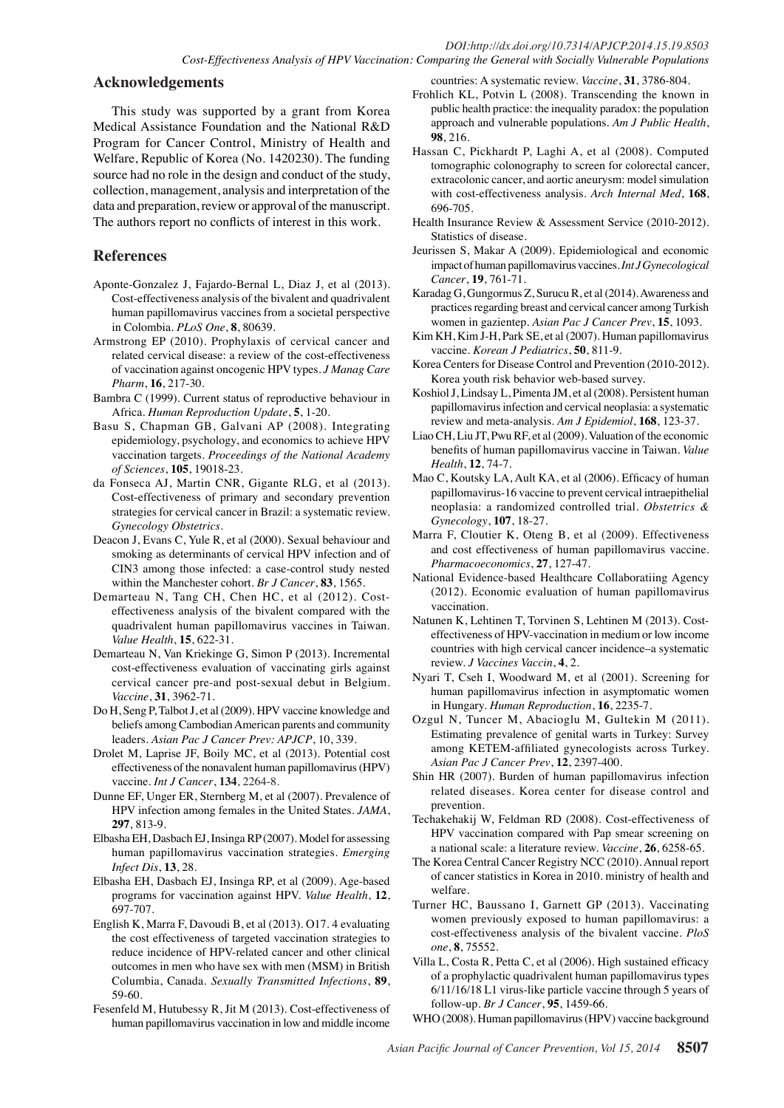## **Acknowledgements**

This study was supported by a grant from Korea Medical Assistance Foundation and the National R&D Program for Cancer Control, Ministry of Health and Welfare, Republic of Korea (No. 1420230). The funding source had no role in the design and conduct of the study, collection, management, analysis and interpretation of the data and preparation, review or approval of the manuscript. The authors report no conflicts of interest in this work.

# **References**

- Aponte-Gonzalez J, Fajardo-Bernal L, Diaz J, et al (2013). Cost-effectiveness analysis of the bivalent and quadrivalent human papillomavirus vaccines from a societal perspective in Colombia. *PLoS One*, **8**, 80639.
- Armstrong EP (2010). Prophylaxis of cervical cancer and related cervical disease: a review of the cost-effectiveness of vaccination against oncogenic HPV types. *J Manag Care Pharm*, **16**, 217-30.
- Bambra C (1999). Current status of reproductive behaviour in Africa. *Human Reproduction Update*, **5**, 1-20.
- Basu S, Chapman GB, Galvani AP (2008). Integrating epidemiology, psychology, and economics to achieve HPV vaccination targets. *Proceedings of the National Academy of Sciences*, **105**, 19018-23.
- da Fonseca AJ, Martin CNR, Gigante RLG, et al (2013). Cost-effectiveness of primary and secondary prevention strategies for cervical cancer in Brazil: a systematic review. *Gynecology Obstetrics*.
- Deacon J, Evans C, Yule R, et al (2000). Sexual behaviour and smoking as determinants of cervical HPV infection and of CIN3 among those infected: a case-control study nested within the Manchester cohort. *Br J Cancer*, **83**, 1565.
- Demarteau N, Tang CH, Chen HC, et al (2012). Costeffectiveness analysis of the bivalent compared with the quadrivalent human papillomavirus vaccines in Taiwan. *Value Health*, **15**, 622-31.
- Demarteau N, Van Kriekinge G, Simon P (2013). Incremental cost-effectiveness evaluation of vaccinating girls against cervical cancer pre-and post-sexual debut in Belgium. *Vaccine*, **31**, 3962-71.
- Do H, Seng P, Talbot J, et al (2009). HPV vaccine knowledge and beliefs among Cambodian American parents and community leaders. *Asian Pac J Cancer Prev: APJCP*, 10, 339.
- Drolet M, Laprise JF, Boily MC, et al (2013). Potential cost effectiveness of the nonavalent human papillomavirus (HPV) vaccine. *Int J Cancer*, **134**, 2264-8.
- Dunne EF, Unger ER, Sternberg M, et al (2007). Prevalence of HPV infection among females in the United States. *JAMA*, **297**, 813-9.
- Elbasha EH, Dasbach EJ, Insinga RP (2007). Model for assessing human papillomavirus vaccination strategies. *Emerging Infect Dis*, **13**, 28.
- Elbasha EH, Dasbach EJ, Insinga RP, et al (2009). Age-based programs for vaccination against HPV. *Value Health*, **12**, 697-707.
- English K, Marra F, Davoudi B, et al (2013). O17. 4 evaluating the cost effectiveness of targeted vaccination strategies to reduce incidence of HPV-related cancer and other clinical outcomes in men who have sex with men (MSM) in British Columbia, Canada. *Sexually Transmitted Infections*, **89**, 59-60.
- Fesenfeld M, Hutubessy R, Jit M (2013). Cost-effectiveness of human papillomavirus vaccination in low and middle income

countries: A systematic review. *Vaccine*, **31**, 3786-804. Frohlich KL, Potvin L (2008). Transcending the known in

- public health practice: the inequality paradox: the population approach and vulnerable populations. *Am J Public Health*, **98**, 216.
- Hassan C, Pickhardt P, Laghi A, et al (2008). Computed tomographic colonography to screen for colorectal cancer, extracolonic cancer, and aortic aneurysm: model simulation with cost-effectiveness analysis. *Arch Internal Med*, **168**, 696-705.
- Health Insurance Review & Assessment Service (2010-2012). Statistics of disease.
- Jeurissen S, Makar A (2009). Epidemiological and economic impact of human papillomavirus vaccines. *Int J Gynecological Cancer*, **19**, 761-71.
- Karadag G, Gungormus Z, Surucu R, et al (2014). Awareness and practices regarding breast and cervical cancer among Turkish women in gazientep. *Asian Pac J Cancer Prev*, **15**, 1093.
- Kim KH, Kim J-H, Park SE, et al (2007). Human papillomavirus vaccine. *Korean J Pediatrics*, **50**, 811-9.
- Korea Centers for Disease Control and Prevention (2010-2012). Korea youth risk behavior web-based survey.
- Koshiol J, Lindsay L, Pimenta JM, et al (2008). Persistent human papillomavirus infection and cervical neoplasia: a systematic review and meta-analysis. *Am J Epidemiol*, **168**, 123-37.
- Liao CH, Liu JT, Pwu RF, et al (2009). Valuation of the economic benefits of human papillomavirus vaccine in Taiwan. *Value Health*, **12**, 74-7.
- Mao C, Koutsky LA, Ault KA, et al (2006). Efficacy of human papillomavirus-16 vaccine to prevent cervical intraepithelial neoplasia: a randomized controlled trial. *Obstetrics & Gynecology*, **107**, 18-27.
- Marra F, Cloutier K, Oteng B, et al (2009). Effectiveness and cost effectiveness of human papillomavirus vaccine. *Pharmacoeconomics*, **27**, 127-47.
- National Evidence-based Healthcare Collaboratiing Agency (2012). Economic evaluation of human papillomavirus vaccination.
- Natunen K, Lehtinen T, Torvinen S, Lehtinen M (2013). Costeffectiveness of HPV-vaccination in medium or low income countries with high cervical cancer incidence–a systematic review. *J Vaccines Vaccin*, **4**, 2.
- Nyari T, Cseh I, Woodward M, et al (2001). Screening for human papillomavirus infection in asymptomatic women in Hungary. *Human Reproduction*, **16**, 2235-7.
- Ozgul N, Tuncer M, Abacioglu M, Gultekin M (2011). Estimating prevalence of genital warts in Turkey: Survey among KETEM-affiliated gynecologists across Turkey. *Asian Pac J Cancer Prev*, **12**, 2397-400.
- Shin HR (2007). Burden of human papillomavirus infection related diseases. Korea center for disease control and prevention.
- Techakehakij W, Feldman RD (2008). Cost-effectiveness of HPV vaccination compared with Pap smear screening on a national scale: a literature review. *Vaccine*, **26**, 6258-65.
- The Korea Central Cancer Registry NCC (2010). Annual report of cancer statistics in Korea in 2010. ministry of health and welfare.
- Turner HC, Baussano I, Garnett GP (2013). Vaccinating women previously exposed to human papillomavirus: a cost-effectiveness analysis of the bivalent vaccine. *PloS one*, **8**, 75552.
- Villa L, Costa R, Petta C, et al (2006). High sustained efficacy of a prophylactic quadrivalent human papillomavirus types 6/11/16/18 L1 virus-like particle vaccine through 5 years of follow-up. *Br J Cancer*, **95**, 1459-66.

WHO (2008). Human papillomavirus (HPV) vaccine background